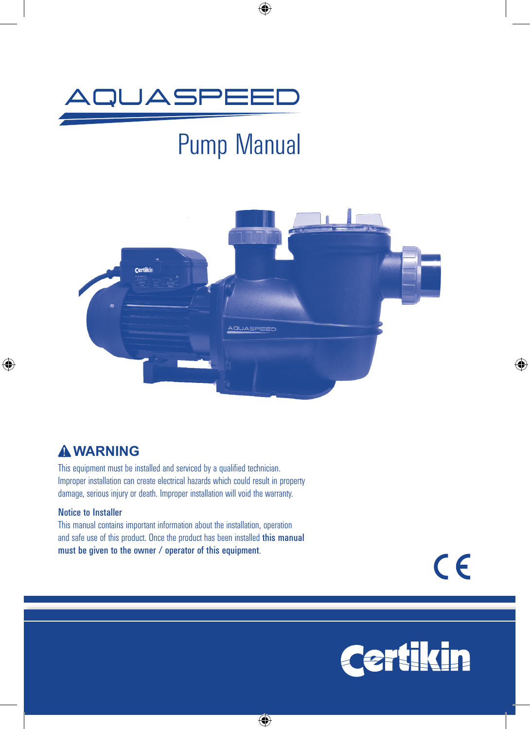

# Pump Manual



### **WARNING**

This equipment must be installed and serviced by a qualified technician. Improper installation can create electrical hazards which could result in property damage, serious injury or death. Improper installation will void the warranty.

#### Notice to Installer

This manual contains important information about the installation, operation and safe use of this product. Once the product has been installed this manual must be given to the owner / operator of this equipment.

 $C\in$ 

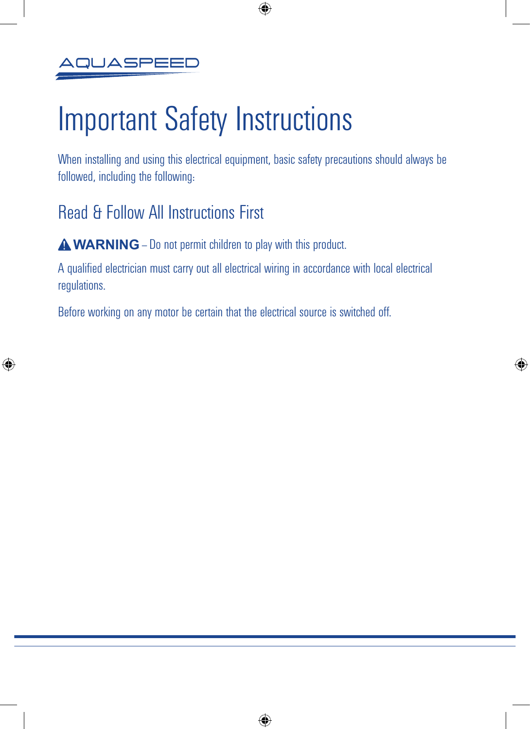# Important Safety Instructions

When installing and using this electrical equipment, basic safety precautions should always be followed, including the following:

## Read & Follow All Instructions First

**A WARNING** – Do not permit children to play with this product.

A qualified electrician must carry out all electrical wiring in accordance with local electrical regulations.

Before working on any motor be certain that the electrical source is switched off.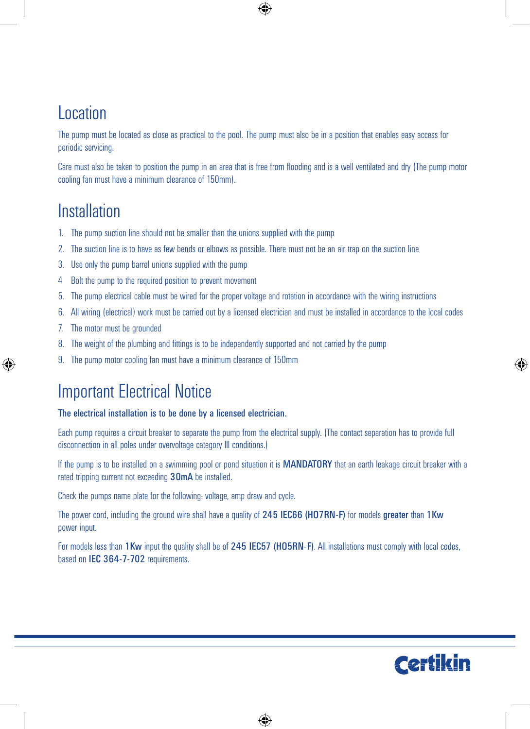## Location

The pump must be located as close as practical to the pool. The pump must also be in a position that enables easy access for periodic servicing.

Care must also be taken to position the pump in an area that is free from flooding and is a well ventilated and dry (The pump motor cooling fan must have a minimum clearance of 150mm).

## **Installation**

- 1. The pump suction line should not be smaller than the unions supplied with the pump
- 2. The suction line is to have as few bends or elbows as possible. There must not be an air trap on the suction line
- 3. Use only the pump barrel unions supplied with the pump
- 4 Bolt the pump to the required position to prevent movement
- 5. The pump electrical cable must be wired for the proper voltage and rotation in accordance with the wiring instructions
- 6. All wiring (electrical) work must be carried out by a licensed electrician and must be installed in accordance to the local codes
- 7. The motor must be grounded
- 8. The weight of the plumbing and fittings is to be independently supported and not carried by the pump
- 9. The pump motor cooling fan must have a minimum clearance of 150mm

## Important Electrical Notice

#### The electrical installation is to be done by a licensed electrician.

Each pump requires a circuit breaker to separate the pump from the electrical supply. (The contact separation has to provide full disconnection in all poles under overvoltage category Ill conditions.)

If the pump is to be installed on a swimming pool or pond situation it is **MANDATORY** that an earth leakage circuit breaker with a rated tripping current not exceeding 30mA be installed.

Check the pumps name plate for the following: voltage, amp draw and cycle.

The power cord, including the ground wire shall have a quality of 245 IEC66 (HO7RN-F) for models greater than 1Kw power input.

For models less than 1Kw input the quality shall be of 245 IEC57 (HO5RN-F). All installations must comply with local codes, based on **IEC 364-7-702** requirements.

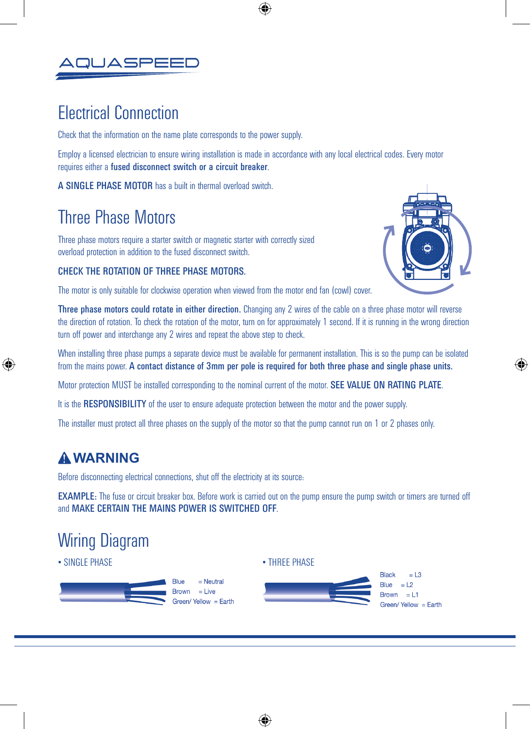

## Electrical Connection

Check that the information on the name plate corresponds to the power supply.

Employ a licensed electrician to ensure wiring installation is made in accordance with any local electrical codes. Every motor requires either a fused disconnect switch or a circuit breaker.

A SINGLE PHASE MOTOR has a built in thermal overload switch.

## **Three Phase Motors**

Three phase motors require a starter switch or magnetic starter with correctly sized overload protection in addition to the fused disconnect switch.

#### CHECK THE ROTATION OF THREE PHASE MOTORS.



The motor is only suitable for clockwise operation when viewed from the motor end fan (cowl) cover.

Three phase motors could rotate in either direction. Changing any 2 wires of the cable on a three phase motor will reverse the direction of rotation. To check the rotation of the motor, turn on for approximately 1 second. If it is running in the wrong direction turn off power and interchange any 2 wires and repeat the above step to check.

When installing three phase pumps a separate device must be available for permanent installation. This is so the pump can be isolated from the mains power. A contact distance of 3mm per pole is required for both three phase and single phase units.

Motor protection MUST be installed corresponding to the nominal current of the motor. SEE VALUE ON RATING PLATE.

It is the RESPONSIBILITY of the user to ensure adequate protection between the motor and the power supply.

The installer must protect all three phases on the supply of the motor so that the pump cannot run on 1 or 2 phases only.

### **WARNING**

Before disconnecting electrical connections, shut off the electricity at its source:

**EXAMPLE:** The fuse or circuit breaker box. Before work is carried out on the pump ensure the pump switch or timers are turned off and MAKE CERTAIN THE MAINS POWER IS SWITCHED OFF.

# Wiring Diagram

• SINGLE PHASE • THREE PHASE



 $=$  Neutra  $= 1$  ive Green/Yellow = Earth



**Black**  $-1.3$  $=12$ Blue  $-11$ **Brown** Green/Yellow = Earth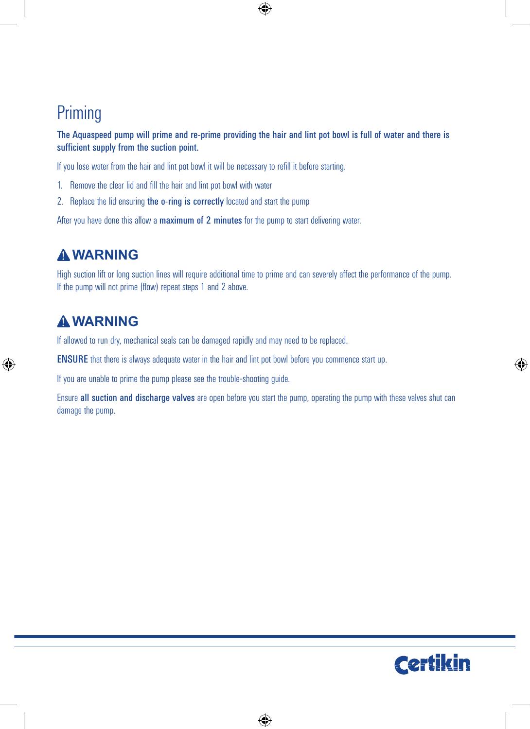# **Priming**

The Aquaspeed pump will prime and re-prime providing the hair and lint pot bowl is full of water and there is sufficient supply from the suction point.

If you lose water from the hair and lint pot bowl it will be necessary to refill it before starting.

- 1. Remove the clear lid and fill the hair and lint pot bowl with water
- 2. Replace the lid ensuring the o-ring is correctly located and start the pump

After you have done this allow a maximum of 2 minutes for the pump to start delivering water.

#### **WARNING**

High suction lift or long suction lines will require additional time to prime and can severely affect the performance of the pump. If the pump will not prime (flow) repeat steps 1 and 2 above.

## **WARNING**

If allowed to run dry, mechanical seals can be damaged rapidly and may need to be replaced.

ENSURE that there is always adequate water in the hair and lint pot bowl before you commence start up.

If you are unable to prime the pump please see the trouble-shooting guide.

Ensure all suction and discharge valves are open before you start the pump, operating the pump with these valves shut can damage the pump.

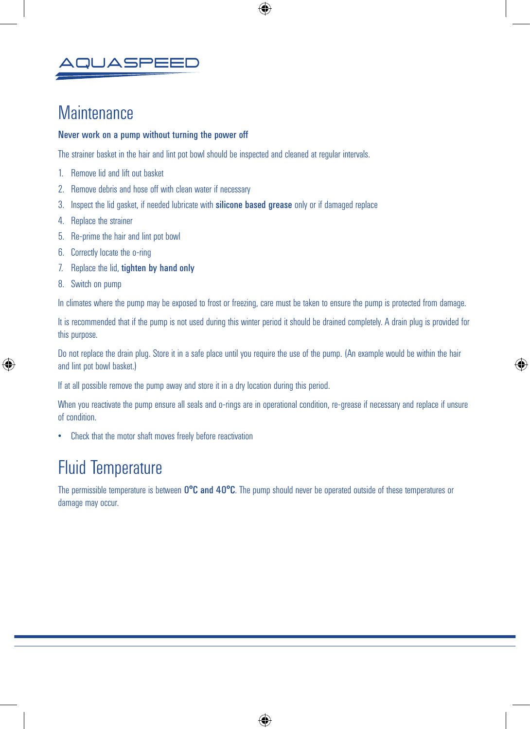

## **Maintenance**

#### Never work on a pump without turning the power off

The strainer basket in the hair and lint pot bowl should be inspected and cleaned at regular intervals.

- 1. Remove lid and lift out basket
- 2. Remove debris and hose off with clean water if necessary
- 3. Inspect the lid gasket, if needed lubricate with **silicone based grease** only or if damaged replace
- 4. Replace the strainer
- 5. Re-prime the hair and lint pot bowl
- 6. Correctly locate the o-ring
- 7. Replace the lid, tighten by hand only
- 8. Switch on pump

In climates where the pump may be exposed to frost or freezing, care must be taken to ensure the pump is protected from damage.

It is recommended that if the pump is not used during this winter period it should be drained completely. A drain plug is provided for this purpose.

Do not replace the drain plug. Store it in a safe place until you require the use of the pump. (An example would be within the hair and lint pot bowl basket.)

If at all possible remove the pump away and store it in a dry location during this period.

When you reactivate the pump ensure all seals and o-rings are in operational condition, re-grease if necessary and replace if unsure of condition.

Check that the motor shaft moves freely before reactivation

## Fluid Temperature

The permissible temperature is between  $0^{\circ}C$  and  $40^{\circ}C$ . The pump should never be operated outside of these temperatures or damage may occur.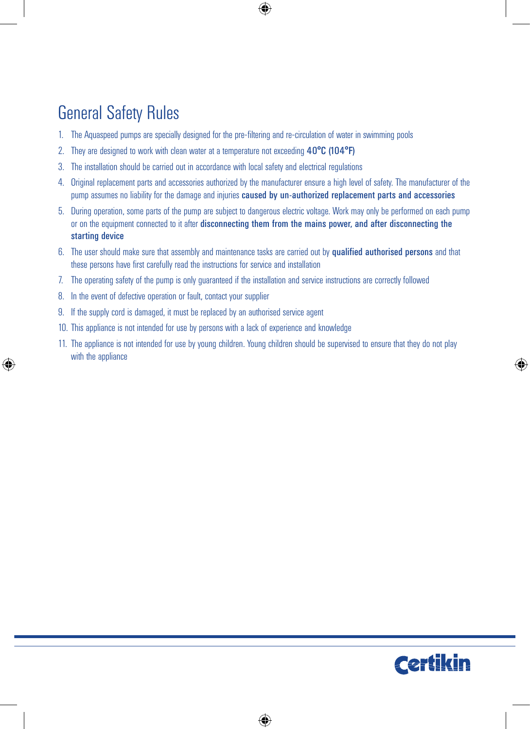## General Safety Rules

- 1. The Aquaspeed pumps are specially designed for the pre-filtering and re-circulation of water in swimming pools
- 2. They are designed to work with clean water at a temperature not exceeding 40°C (104°F)
- 3. The installation should be carried out in accordance with local safety and electrical regulations
- 4. Original replacement parts and accessories authorized by the manufacturer ensure a high level of safety. The manufacturer of the pump assumes no liability for the damage and injuries caused by un-authorized replacement parts and accessories
- 5. During operation, some parts of the pump are subject to dangerous electric voltage. Work may only be performed on each pump or on the equipment connected to it after disconnecting them from the mains power, and after disconnecting the starting device
- 6. The user should make sure that assembly and maintenance tasks are carried out by qualified authorised persons and that these persons have first carefully read the instructions for service and installation
- 7. The operating safety of the pump is only guaranteed if the installation and service instructions are correctly followed
- 8. In the event of defective operation or fault, contact your supplier
- 9. If the supply cord is damaged, it must be replaced by an authorised service agent
- 10. This appliance is not intended for use by persons with a lack of experience and knowledge
- 11. The appliance is not intended for use by young children. Young children should be supervised to ensure that they do not play with the appliance

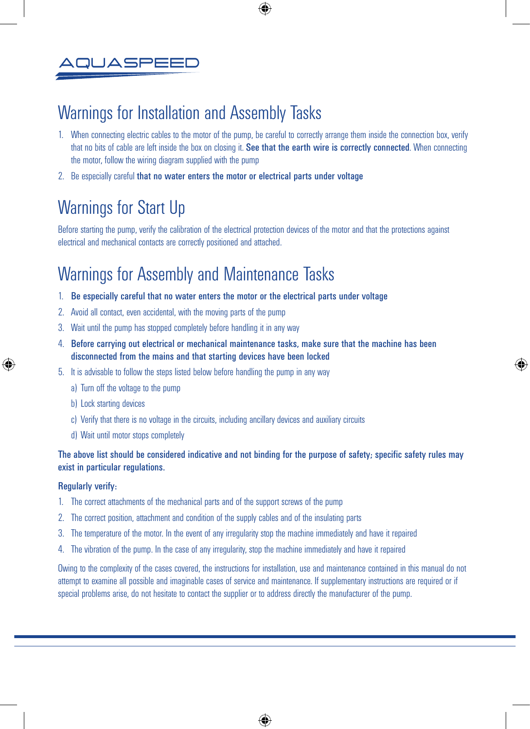

## Warnings for Installation and Assembly Tasks

- 1. When connecting electric cables to the motor of the pump, be careful to correctly arrange them inside the connection box, verify that no bits of cable are left inside the box on closing it. See that the earth wire is correctly connected. When connecting the motor, follow the wiring diagram supplied with the pump
- 2. Be especially careful that no water enters the motor or electrical parts under voltage

# Warnings for Start Up

Before starting the pump, verify the calibration of the electrical protection devices of the motor and that the protections against electrical and mechanical contacts are correctly positioned and attached.

## Warnings for Assembly and Maintenance Tasks

- 1. Be especially careful that no water enters the motor or the electrical parts under voltage
- 2. Avoid all contact, even accidental, with the moving parts of the pump
- 3. Wait until the pump has stopped completely before handling it in any way
- 4. Before carrying out electrical or mechanical maintenance tasks, make sure that the machine has been disconnected from the mains and that starting devices have been locked
- 5. It is advisable to follow the steps listed below before handling the pump in any way
	- a) Turn off the voltage to the pump
	- b) Lock starting devices
	- c) Verify that there is no voltage in the circuits, including ancillary devices and auxiliary circuits
	- d) Wait until motor stops completely

#### The above list should be considered indicative and not binding for the purpose of safety; specific safety rules may exist in particular regulations.

#### Regularly verify:

- 1. The correct attachments of the mechanical parts and of the support screws of the pump
- 2. The correct position, attachment and condition of the supply cables and of the insulating parts
- 3. The temperature of the motor. In the event of any irregularity stop the machine immediately and have it repaired
- 4. The vibration of the pump. In the case of any irregularity, stop the machine immediately and have it repaired

Owing to the complexity of the cases covered, the instructions for installation, use and maintenance contained in this manual do not attempt to examine all possible and imaginable cases of service and maintenance. If supplementary instructions are required or if special problems arise, do not hesitate to contact the supplier or to address directly the manufacturer of the pump.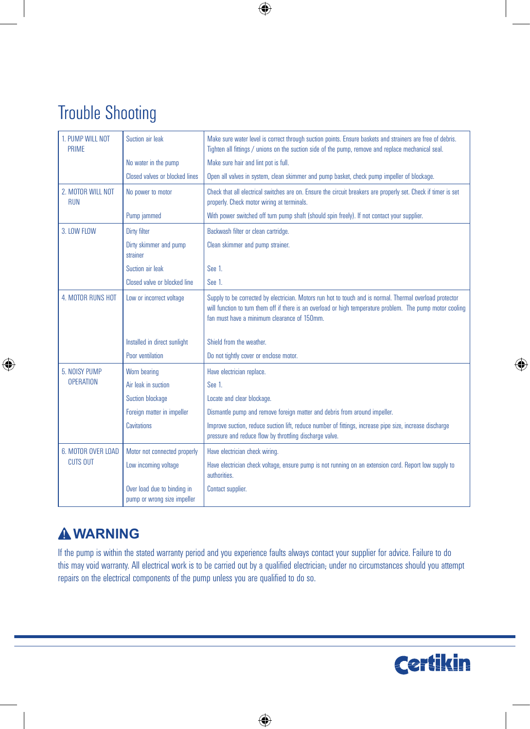# Trouble Shooting

| 1. PUMP WILL NOT<br>PRIME             | <b>Suction air leak</b>                                    | Make sure water level is correct through suction points. Ensure baskets and strainers are free of debris.<br>Tighten all fittings / unions on the suction side of the pump, remove and replace mechanical seal.                                                       |
|---------------------------------------|------------------------------------------------------------|-----------------------------------------------------------------------------------------------------------------------------------------------------------------------------------------------------------------------------------------------------------------------|
|                                       | No water in the pump                                       | Make sure hair and lint pot is full.                                                                                                                                                                                                                                  |
|                                       | Closed valves or blocked lines                             | Open all valves in system, clean skimmer and pump basket, check pump impeller of blockage.                                                                                                                                                                            |
| 2. MOTOR WILL NOT<br><b>RUN</b>       | No power to motor                                          | Check that all electrical switches are on. Ensure the circuit breakers are properly set. Check if timer is set<br>properly. Check motor wiring at terminals.                                                                                                          |
|                                       | Pump jammed                                                | With power switched off turn pump shaft (should spin freely). If not contact your supplier.                                                                                                                                                                           |
| 3.10W FLOW                            | <b>Dirty filter</b>                                        | Backwash filter or clean cartridge.                                                                                                                                                                                                                                   |
|                                       | Dirty skimmer and pump<br>strainer                         | Clean skimmer and pump strainer.                                                                                                                                                                                                                                      |
|                                       | Suction air leak                                           | See 1.                                                                                                                                                                                                                                                                |
|                                       | Closed valve or blocked line                               | See 1.                                                                                                                                                                                                                                                                |
| <b>4. MOTOR RUNS HOT</b>              | Low or incorrect voltage                                   | Supply to be corrected by electrician. Motors run hot to touch and is normal. Thermal overload protector<br>will function to turn them off if there is an overload or high temperature problem. The pump motor cooling<br>fan must have a minimum clearance of 150mm. |
|                                       | Installed in direct sunlight                               | Shield from the weather                                                                                                                                                                                                                                               |
|                                       | Poor ventilation                                           | Do not tightly cover or enclose motor.                                                                                                                                                                                                                                |
| 5. NOISY PUMP                         | Worn bearing                                               | Have electrician replace.                                                                                                                                                                                                                                             |
| <b>OPFRATION</b>                      | Air leak in suction                                        | See 1.                                                                                                                                                                                                                                                                |
|                                       | <b>Suction blockage</b>                                    | Locate and clear blockage.                                                                                                                                                                                                                                            |
|                                       | Foreign matter in impeller                                 | Dismantle pump and remove foreign matter and debris from around impeller.                                                                                                                                                                                             |
|                                       | Cavitations                                                | Improve suction, reduce suction lift, reduce number of fittings, increase pipe size, increase discharge<br>pressure and reduce flow by throttling discharge valve.                                                                                                    |
| 6. MOTOR OVER LOAD<br><b>CUTS OUT</b> | Motor not connected properly                               | Have electrician check wiring.                                                                                                                                                                                                                                        |
|                                       | Low incoming voltage                                       | Have electrician check voltage, ensure pump is not running on an extension cord. Report low supply to<br>authorities.                                                                                                                                                 |
|                                       | Over load due to binding in<br>pump or wrong size impeller | Contact supplier.                                                                                                                                                                                                                                                     |

## **WARNING**

If the pump is within the stated warranty period and you experience faults always contact your supplier for advice. Failure to do this may void warranty. All electrical work is to be carried out by a qualified electrician; under no circumstances should you attempt repairs on the electrical components of the pump unless you are qualified to do so.

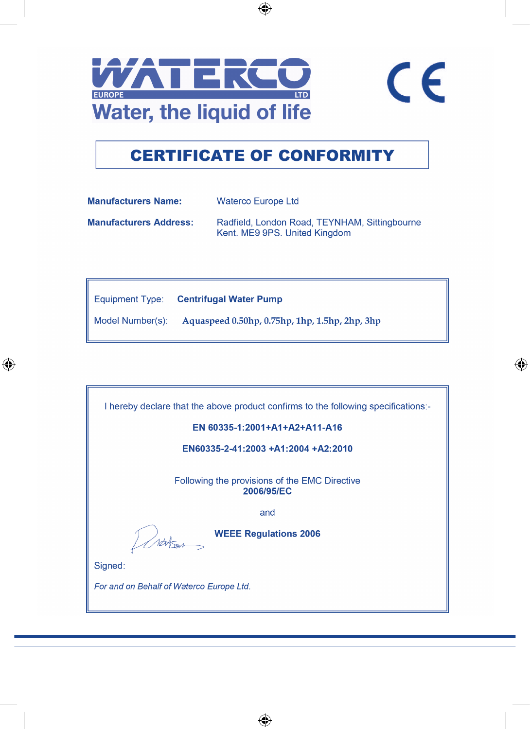



## **CERTIFICATE OF CONFORMITY**

| <b>Manufacturers Name:</b>    | <b>Waterco Europe Ltd</b>                                                      |
|-------------------------------|--------------------------------------------------------------------------------|
| <b>Manufacturers Address:</b> | Radfield, London Road, TEYNHAM, Sittingbourne<br>Kent. ME9 9PS. United Kingdom |

| Equipment Type:  | <b>Centrifugal Water Pump</b>                  |
|------------------|------------------------------------------------|
| Model Number(s): | Aquaspeed 0.50hp, 0.75hp, 1hp, 1.5hp, 2hp, 3hp |

| I hereby declare that the above product confirms to the following specifications:-<br>EN 60335-1:2001+A1+A2+A11-A16<br>EN60335-2-41:2003 +A1:2004 +A2:2010 |  |  |  |
|------------------------------------------------------------------------------------------------------------------------------------------------------------|--|--|--|
|                                                                                                                                                            |  |  |  |
| Following the provisions of the EMC Directive<br>2006/95/EC                                                                                                |  |  |  |
|                                                                                                                                                            |  |  |  |
| and                                                                                                                                                        |  |  |  |
| <b>WEEE Regulations 2006</b>                                                                                                                               |  |  |  |
| Signed:                                                                                                                                                    |  |  |  |
| For and on Behalf of Waterco Europe Ltd.                                                                                                                   |  |  |  |
|                                                                                                                                                            |  |  |  |
|                                                                                                                                                            |  |  |  |
|                                                                                                                                                            |  |  |  |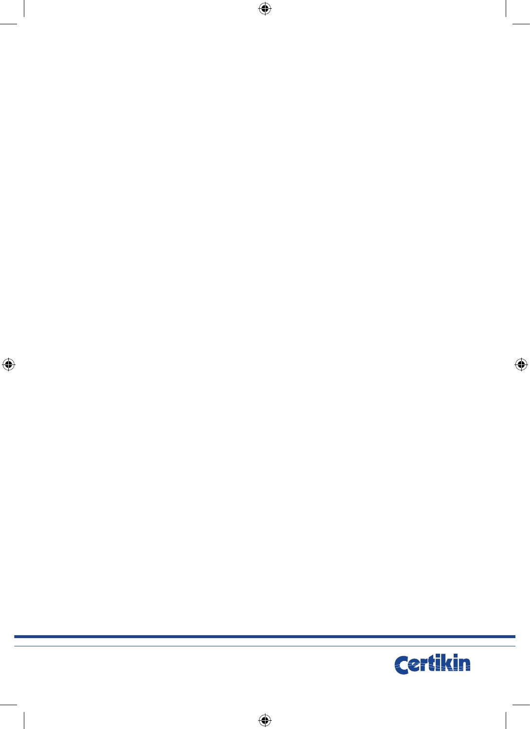